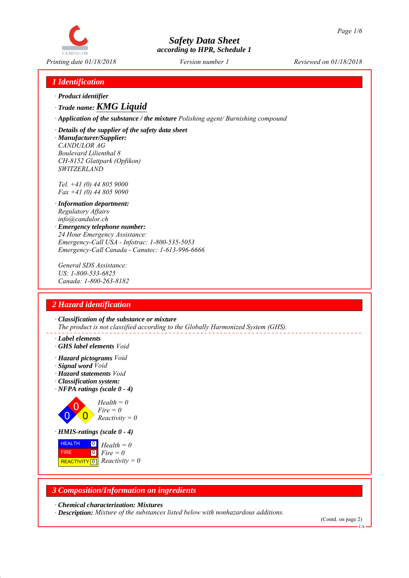

# *1 Identification*

- *∙ Product identifier*
- *∙ Trade name: KMG Liquid*
- *∙ Application of the substance / the mixture Polishing agent/ Burnishing compound*
- *∙ Details of the supplier of the safety data sheet ∙ Manufacturer/Supplier: CANDULOR AG*
- *Boulevard Lilienthal 8 CH-8152 Glattpark (Opfikon) SWITZERLAND*

*Tel. +41 (0) 44 805 9000 Fax +41 (0) 44 805 9090*

- *∙ Information department: Regulatory Affairs info@candulor.ch*
- *∙ Emergency telephone number: 24 Hour Emergency Assistance: Emergency-Call USA - Infotrac: 1-800-535-5053 Emergency-Call Canada - Canutec: 1-613-996-6666*

*General SDS Assistance: US: 1-800-533-6825 Canada: 1-800-263-8182*

## *2 Hazard identification*

*∙ Classification of the substance or mixture The product is not classified according to the Globally Harmonized System (GHS).*

- *∙ Label elements*
- *∙ GHS label elements Void*
- *∙ Hazard pictograms Void*
- *∙ Signal word Void*
- *∙ Hazard statements Void*
- *∙ Classification system:*
- *∙ NFPA ratings (scale 0 4)*



**REACTIVITY** 0  $\boxed{0}$ *Fire = 0 Reactivity = 0*

## *3 Composition/Information on ingredients*

*∙ Chemical characterization: Mixtures*

*∙ Description: Mixture of the substances listed below with nonhazardous additions.*

(Contd. on page 2)

 $\alpha$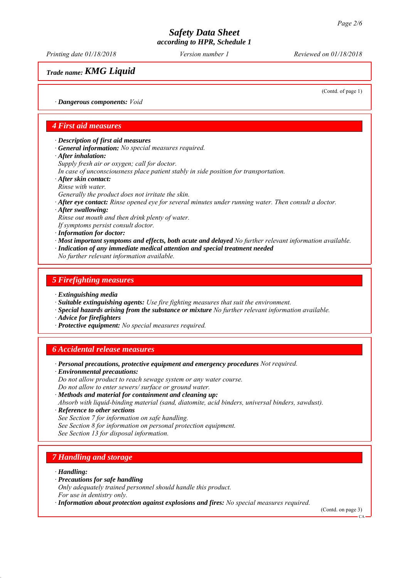*Printing date 01/18/2018 Reviewed on 01/18/2018 Version number 1*

*Trade name: KMG Liquid*

(Contd. of page 1)

*∙ Dangerous components: Void*

#### *4 First aid measures*

*∙ Description of first aid measures*

- *∙ General information: No special measures required.*
- *∙ After inhalation:*
- *Supply fresh air or oxygen; call for doctor.*
- *In case of unconsciousness place patient stably in side position for transportation.*
- *∙ After skin contact: Rinse with water.*
- *Generally the product does not irritate the skin.*
- *∙ After eye contact: Rinse opened eye for several minutes under running water. Then consult a doctor.*
- *∙ After swallowing:*

*Rinse out mouth and then drink plenty of water.*

- *If symptoms persist consult doctor.*
- *∙ Information for doctor:*
- *∙ Most important symptoms and effects, both acute and delayed No further relevant information available.*
- *∙ Indication of any immediate medical attention and special treatment needed*
- *No further relevant information available.*

#### *5 Firefighting measures*

- *∙ Extinguishing media*
- *∙ Suitable extinguishing agents: Use fire fighting measures that suit the environment.*
- *∙ Special hazards arising from the substance or mixture No further relevant information available.*
- *∙ Advice for firefighters*
- *∙ Protective equipment: No special measures required.*

## *6 Accidental release measures*

- *∙ Personal precautions, protective equipment and emergency procedures Not required.*
- *∙ Environmental precautions: Do not allow product to reach sewage system or any water course. Do not allow to enter sewers/ surface or ground water. ∙ Methods and material for containment and cleaning up:*
- *Absorb with liquid-binding material (sand, diatomite, acid binders, universal binders, sawdust).*
- *∙ Reference to other sections*
- *See Section 7 for information on safe handling.*
- *See Section 8 for information on personal protection equipment.*
- *See Section 13 for disposal information.*

## *7 Handling and storage*

- *∙ Handling:*
- *∙ Precautions for safe handling*
- *Only adequately trained personnel should handle this product.*
- *For use in dentistry only.*
- *∙ Information about protection against explosions and fires: No special measures required.*

(Contd. on page 3)

CA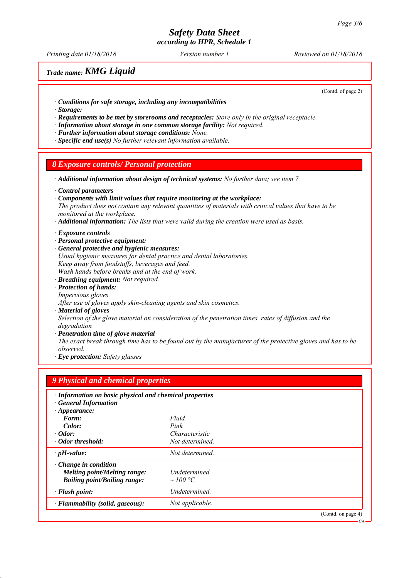*Printing date 01/18/2018 Reviewed on 01/18/2018 Version number 1*

# *Trade name: KMG Liquid*

(Contd. of page 2)

CA

- *∙ Conditions for safe storage, including any incompatibilities*
- *∙ Storage:*
- *∙ Requirements to be met by storerooms and receptacles: Store only in the original receptacle.*
- *∙ Information about storage in one common storage facility: Not required.*
- *∙ Further information about storage conditions: None.*
- *∙ Specific end use(s) No further relevant information available.*

#### *8 Exposure controls/ Personal protection*

*∙ Additional information about design of technical systems: No further data; see item 7.*

- *∙ Control parameters*
- *∙ Components with limit values that require monitoring at the workplace:*
- *The product does not contain any relevant quantities of materials with critical values that have to be monitored at the workplace.*
- *∙ Additional information: The lists that were valid during the creation were used as basis.*
- *∙ Exposure controls*
- *∙ Personal protective equipment:*
- *∙ General protective and hygienic measures: Usual hygienic measures for dental practice and dental laboratories. Keep away from foodstuffs, beverages and feed. Wash hands before breaks and at the end of work. ∙ Breathing equipment: Not required. ∙ Protection of hands: Impervious gloves After use of gloves apply skin-cleaning agents and skin cosmetics.*
- 
- *∙ Material of gloves*

*Selection of the glove material on consideration of the penetration times, rates of diffusion and the degradation*

*∙ Penetration time of glove material*

*The exact break through time has to be found out by the manufacturer of the protective gloves and has to be observed.*

*∙ Eye protection: Safety glasses*

| 9 Physical and chemical properties                      |                      |                    |
|---------------------------------------------------------|----------------------|--------------------|
| · Information on basic physical and chemical properties |                      |                    |
| <b>General Information</b>                              |                      |                    |
| $\cdot$ Appearance:                                     |                      |                    |
| Form:                                                   | Fluid                |                    |
| Color:                                                  | Pink                 |                    |
| $\cdot$ Odor:                                           | Characteristic       |                    |
| · Odor threshold:                                       | Not determined       |                    |
| $\cdot$ pH-value:                                       | Not determined.      |                    |
| $\cdot$ Change in condition                             |                      |                    |
| <b>Melting point/Melting range:</b>                     | Undetermined.        |                    |
| <b>Boiling point/Boiling range:</b>                     | $\sim 100 \degree C$ |                    |
| · Flash point:                                          | Undetermined.        |                    |
| · Flammability (solid, gaseous):                        | Not applicable.      |                    |
|                                                         |                      | (Contd. on page 4) |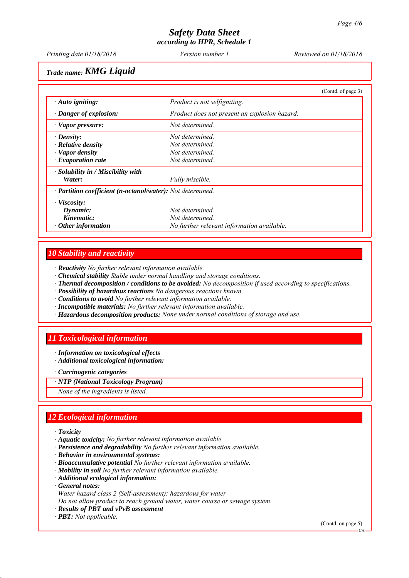*Printing date 01/18/2018 Reviewed on 01/18/2018 Version number 1*

*Trade name: KMG Liquid*

|                                                            |                                               | (Contd. of page 3) |
|------------------------------------------------------------|-----------------------------------------------|--------------------|
| $\cdot$ Auto igniting:                                     | Product is not selfigniting.                  |                    |
| · Danger of explosion:                                     | Product does not present an explosion hazard. |                    |
| $\cdot$ Vapor pressure:                                    | Not determined.                               |                    |
| $\cdot$ Density:                                           | Not determined.                               |                    |
| $\cdot$ Relative density                                   | Not determined.                               |                    |
| $\cdot$ Vapor density                                      | Not determined.                               |                    |
| $\cdot$ Evaporation rate                                   | Not determined.                               |                    |
| $\cdot$ Solubility in / Miscibility with                   |                                               |                    |
| Water:                                                     | Fully miscible.                               |                    |
| · Partition coefficient (n-octanol/water): Not determined. |                                               |                    |
| $\cdot$ Viscosity:                                         |                                               |                    |
| Dynamic:                                                   | Not determined.                               |                    |
| Kinematic:                                                 | Not determined.                               |                    |
| $\cdot$ Other information                                  | No further relevant information available.    |                    |

## *10 Stability and reactivity*

*∙ Reactivity No further relevant information available.*

- *∙ Chemical stability Stable under normal handling and storage conditions.*
- *∙ Thermal decomposition / conditions to be avoided: No decomposition if used according to specifications.*
- *∙ Possibility of hazardous reactions No dangerous reactions known.*
- *∙ Conditions to avoid No further relevant information available.*
- *∙ Incompatible materials: No further relevant information available.*
- *∙ Hazardous decomposition products: None under normal conditions of storage and use.*

# *11 Toxicological information*

*∙ Information on toxicological effects ∙ Additional toxicological information:*

*∙ Carcinogenic categories*

*∙ NTP (National Toxicology Program)*

*None of the ingredients is listed.*

# *12 Ecological information*

- *∙ Toxicity*
- *∙ Aquatic toxicity: No further relevant information available.*
- *∙ Persistence and degradability No further relevant information available.*
- *∙ Behavior in environmental systems:*
- *∙ Bioaccumulative potential No further relevant information available.*
- *∙ Mobility in soil No further relevant information available.*
- *∙ Additional ecological information:*
- *∙ General notes:*
- *Water hazard class 2 (Self-assessment): hazardous for water*
- *Do not allow product to reach ground water, water course or sewage system.*
- *∙ Results of PBT and vPvB assessment*
- *∙ PBT: Not applicable.*

(Contd. on page 5)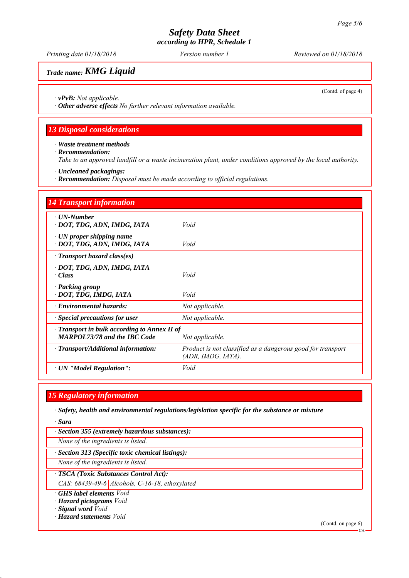*Printing date 01/18/2018 Reviewed on 01/18/2018 Version number 1*

# *Trade name: KMG Liquid*

(Contd. of page 4)

*∙ vPvB: Not applicable.*

*∙ Other adverse effects No further relevant information available.*

#### *13 Disposal considerations*

*∙ Waste treatment methods*

*∙ Recommendation:*

*Take to an approved landfill or a waste incineration plant, under conditions approved by the local authority.*

*∙ Uncleaned packagings:*

*∙ Recommendation: Disposal must be made according to official regulations.*

| <b>14 Transport information</b>                                                                        |                                                                                      |
|--------------------------------------------------------------------------------------------------------|--------------------------------------------------------------------------------------|
| $\cdot$ UN-Number<br>· DOT, TDG, ADN, IMDG, IATA                                                       | Void                                                                                 |
| $\cdot$ UN proper shipping name<br>· DOT, TDG, ADN, IMDG, IATA                                         | Void                                                                                 |
| $\cdot$ Transport hazard class(es)                                                                     |                                                                                      |
| · DOT, TDG, ADN, IMDG, IATA<br>· Class                                                                 | Void                                                                                 |
| · Packing group<br>· DOT, TDG, IMDG, IATA                                                              | Void                                                                                 |
| $\cdot$ Environmental hazards:                                                                         | Not applicable.                                                                      |
| $\cdot$ Special precautions for user                                                                   | Not applicable.                                                                      |
| · Transport in bulk according to Annex II of<br><b>MARPOL73/78 and the IBC Code</b><br>Not applicable. |                                                                                      |
| $\cdot$ Transport/Additional information:                                                              | Product is not classified as a dangerous good for transport<br>$(ADR, IMDG, IATA)$ . |
| · UN "Model Regulation":                                                                               | Void                                                                                 |

#### *15 Regulatory information*

*∙ Safety, health and environmental regulations/legislation specific for the substance or mixture*

*∙ Sara*

*∙ Section 355 (extremely hazardous substances):*

*None of the ingredients is listed.*

*∙ Section 313 (Specific toxic chemical listings):*

*None of the ingredients is listed.*

*∙ TSCA (Toxic Substances Control Act):*

*CAS: 68439-49-6 Alcohols, C-16-18, ethoxylated*

*∙ GHS label elements Void*

*∙ Hazard pictograms Void*

*∙ Signal word Void*

*∙ Hazard statements Void*

(Contd. on page 6)